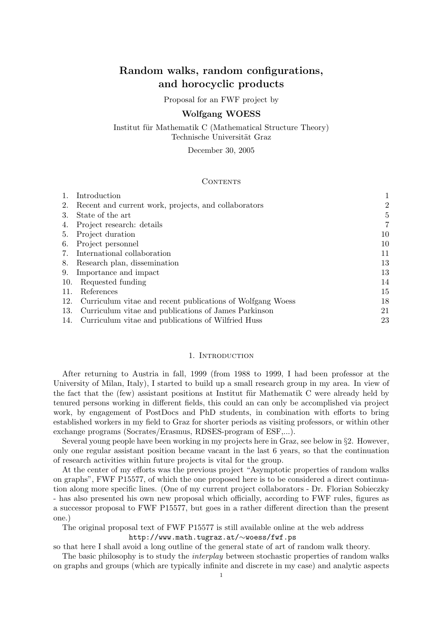# Random walks, random configurations, and horocyclic products

### Proposal for an FWF project by

### Wolfgang WOESS

Institut für Mathematik C (Mathematical Structure Theory) Technische Universität Graz

December 30, 2005

#### **CONTENTS**

|     | Introduction                                               |    |
|-----|------------------------------------------------------------|----|
| 2.  | Recent and current work, projects, and collaborators       | 2  |
| 3.  | State of the art                                           | 5  |
| 4.  | Project research: details                                  | 7  |
| 5.  | Project duration                                           | 10 |
| 6.  | Project personnel                                          | 10 |
|     | International collaboration                                | 11 |
| 8.  | Research plan, dissemination                               | 13 |
| 9.  | Importance and impact                                      | 13 |
| 10. | Requested funding                                          | 14 |
| 11. | References                                                 | 15 |
| 12. | Curriculum vitae and recent publications of Wolfgang Woess | 18 |
| 13. | Curriculum vitae and publications of James Parkinson       | 21 |
| 14. | Curriculum vitae and publications of Wilfried Huss         | 23 |

## 1. INTRODUCTION

After returning to Austria in fall, 1999 (from 1988 to 1999, I had been professor at the University of Milan, Italy), I started to build up a small research group in my area. In view of the fact that the (few) assistant positions at Institut für Mathematik C were already held by tenured persons working in different fields, this could an can only be accomplished via project work, by engagement of PostDocs and PhD students, in combination with efforts to bring established workers in my field to Graz for shorter periods as visiting professors, or within other exchange programs (Socrates/Erasmus, RDSES-program of ESF,...).

Several young people have been working in my projects here in Graz, see below in §2. However, only one regular assistant position became vacant in the last 6 years, so that the continuation of research activities within future projects is vital for the group.

At the center of my efforts was the previous project "Asymptotic properties of random walks on graphs", FWF P15577, of which the one proposed here is to be considered a direct continuation along more specific lines. (One of my current project collaborators - Dr. Florian Sobieczky - has also presented his own new proposal which officially, according to FWF rules, figures as a successor proposal to FWF P15577, but goes in a rather different direction than the present one.)

The original proposal text of FWF P15577 is still available online at the web address

http://www.math.tugraz.at/∼woess/fwf.ps

so that here I shall avoid a long outline of the general state of art of random walk theory.

The basic philosophy is to study the *interplay* between stochastic properties of random walks on graphs and groups (which are typically infinite and discrete in my case) and analytic aspects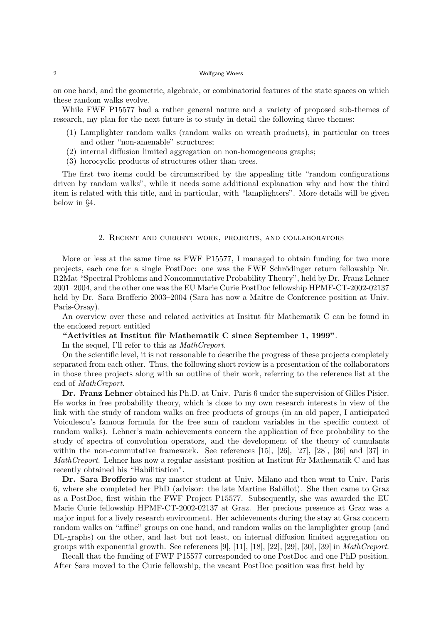on one hand, and the geometric, algebraic, or combinatorial features of the state spaces on which these random walks evolve.

While FWF P15577 had a rather general nature and a variety of proposed sub-themes of research, my plan for the next future is to study in detail the following three themes:

- (1) Lamplighter random walks (random walks on wreath products), in particular on trees and other "non-amenable" structures;
- (2) internal diffusion limited aggregation on non-homogeneous graphs;
- (3) horocyclic products of structures other than trees.

The first two items could be circumscribed by the appealing title "random configurations driven by random walks", while it needs some additional explanation why and how the third item is related with this title, and in particular, with "lamplighters". More details will be given below in §4.

### 2. Recent and current work, projects, and collaborators

More or less at the same time as FWF P15577, I managed to obtain funding for two more projects, each one for a single PostDoc: one was the FWF Schrödinger return fellowship Nr. R2Mat "Spectral Problems and Noncommutative Probability Theory", held by Dr. Franz Lehner 2001–2004, and the other one was the EU Marie Curie PostDoc fellowship HPMF-CT-2002-02137 held by Dr. Sara Brofferio 2003–2004 (Sara has now a Maître de Conference position at Univ. Paris-Orsay).

An overview over these and related activities at Insitut für Mathematik C can be found in the enclosed report entitled

# "Activities at Institut für Mathematik C since September 1, 1999".

In the sequel, I'll refer to this as MathCreport.

On the scientific level, it is not reasonable to describe the progress of these projects completely separated from each other. Thus, the following short review is a presentation of the collaborators in those three projects along with an outline of their work, referring to the reference list at the end of MathCreport.

Dr. Franz Lehner obtained his Ph.D. at Univ. Paris 6 under the supervision of Gilles Pisier. He works in free probability theory, which is close to my own research interests in view of the link with the study of random walks on free products of groups (in an old paper, I anticipated Voiculescu's famous formula for the free sum of random variables in the specific context of random walks). Lehner's main achievements concern the application of free probability to the study of spectra of convolution operators, and the development of the theory of cumulants within the non-commutative framework. See references [15], [26], [27], [28], [36] and [37] in *MathCreport.* Lehner has now a regular assistant position at Institut für Mathematik C and has recently obtained his "Habilitiation".

Dr. Sara Brofferio was my master student at Univ. Milano and then went to Univ. Paris 6, where she completed her PhD (advisor: the late Martine Babillot). She then came to Graz as a PostDoc, first within the FWF Project P15577. Subsequently, she was awarded the EU Marie Curie fellowship HPMF-CT-2002-02137 at Graz. Her precious presence at Graz was a major input for a lively research environment. Her achievements during the stay at Graz concern random walks on "affine" groups on one hand, and random walks on the lamplighter group (and DL-graphs) on the other, and last but not least, on internal diffusion limited aggregation on groups with exponential growth. See references  $[9]$ ,  $[11]$ ,  $[18]$ ,  $[22]$ ,  $[29]$ ,  $[30]$ ,  $[39]$  in *MathCreport*.

Recall that the funding of FWF P15577 corresponded to one PostDoc and one PhD position. After Sara moved to the Curie fellowship, the vacant PostDoc position was first held by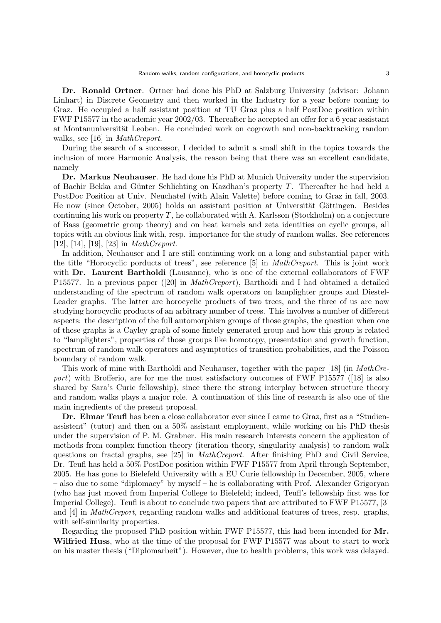Dr. Ronald Ortner. Ortner had done his PhD at Salzburg University (advisor: Johann Linhart) in Discrete Geometry and then worked in the Industry for a year before coming to Graz. He occupied a half assistant position at TU Graz plus a half PostDoc position within FWF P15577 in the academic year 2002/03. Thereafter he accepted an offer for a 6 year assistant at Montanuniversität Leoben. He concluded work on cogrowth and non-backtracking random walks, see [16] in *MathCreport*.

During the search of a successor, I decided to admit a small shift in the topics towards the inclusion of more Harmonic Analysis, the reason being that there was an excellent candidate, namely

Dr. Markus Neuhauser. He had done his PhD at Munich University under the supervision of Bachir Bekka and G¨unter Schlichting on Kazdhan's property T. Thereafter he had held a PostDoc Position at Univ. Neuchatel (with Alain Valette) before coming to Graz in fall, 2003. He now (since October, 2005) holds an assistant position at Universität Göttingen. Besides continuing his work on property  $T$ , he collaborated with A. Karlsson (Stockholm) on a conjecture of Bass (geometric group theory) and on heat kernels and zeta identities on cyclic groups, all topics with an obvious link with, resp. importance for the study of random walks. See references [12], [14], [19], [23] in MathCreport.

In addition, Neuhauser and I are still continuing work on a long and substantial paper with the title "Horocyclic porducts of trees", see reference [5] in MathCreport. This is joint work with Dr. Laurent Bartholdi (Lausanne), who is one of the external collaborators of FWF P15577. In a previous paper ([20] in MathCreport), Bartholdi and I had obtained a detailed understanding of the spectrum of random walk operators on lamplighter groups and Diestel-Leader graphs. The latter are horocyclic products of two trees, and the three of us are now studying horocyclic products of an arbitrary number of trees. This involves a number of different aspects: the description of the full automorphism groups of those graphs, the question when one of these graphs is a Cayley graph of some fintely generated group and how this group is related to "lamplighters", properties of those groups like homotopy, presentation and growth function, spectrum of random walk operators and asymptotics of transition probabilities, and the Poisson boundary of random walk.

This work of mine with Bartholdi and Neuhauser, together with the paper [18] (in MathCreport) with Brofferio, are for me the most satisfactory outcomes of FWF P15577 ([18] is also shared by Sara's Curie fellowship), since there the strong interplay between structure theory and random walks plays a major role. A continuation of this line of research is also one of the main ingredients of the present proposal.

Dr. Elmar Teufl has been a close collaborator ever since I came to Graz, first as a "Studienassistent" (tutor) and then on a 50% assistant employment, while working on his PhD thesis under the supervision of P. M. Grabner. His main research interests concern the applicaton of methods from complex function theory (iteration theory, singularity analysis) to random walk questions on fractal graphs, see [25] in MathCreport. After finishing PhD and Civil Service, Dr. Teufl has held a 50% PostDoc position within FWF P15577 from April through September, 2005. He has gone to Bielefeld University with a EU Curie fellowship in December, 2005, where – also due to some "diplomacy" by myself – he is collaborating with Prof. Alexander Grigoryan (who has just moved from Imperial College to Bielefeld; indeed, Teufl's fellowship first was for Imperial College). Teufl is about to conclude two papers that are attributed to FWF P15577, [3] and [4] in MathCreport, regarding random walks and additional features of trees, resp. graphs, with self-similarity properties.

Regarding the proposed PhD position within FWF P15577, this had been intended for Mr. Wilfried Huss, who at the time of the proposal for FWF P15577 was about to start to work on his master thesis ("Diplomarbeit"). However, due to health problems, this work was delayed.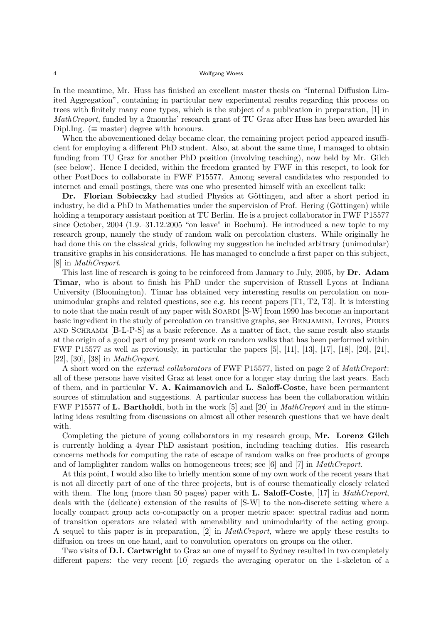In the meantime, Mr. Huss has finished an excellent master thesis on "Internal Diffusion Limited Aggregation", containing in particular new experimental results regarding this process on trees with finitely many cone types, which is the subject of a publication in preparation, [1] in MathCreport, funded by a 2months' research grant of TU Graz after Huss has been awarded his Dipl.Ing. ( $\equiv$  master) degree with honours.

When the abovementioned delay became clear, the remaining project period appeared insufficient for employing a different PhD student. Also, at about the same time, I managed to obtain funding from TU Graz for another PhD position (involving teaching), now held by Mr. Gilch (see below). Hence I decided, within the freedom granted by FWF in this resepct, to look for other PostDocs to collaborate in FWF P15577. Among several candidates who responded to internet and email postings, there was one who presented himself with an excellent talk:

Dr. Florian Sobieczky had studied Physics at Göttingen, and after a short period in industry, he did a PhD in Mathematics under the supervision of Prof. Hering (Göttingen) while holding a temporary assistant position at TU Berlin. He is a project collaborator in FWF P15577 since October, 2004 (1.9.–31.12.2005 "on leave" in Bochum). He introduced a new topic to my research group, namely the study of random walk on percolation clusters. While originally he had done this on the classical grids, following my suggestion he included arbitrary (unimodular) transitive graphs in his considerations. He has managed to conclude a first paper on this subject, [8] in MathCreport.

This last line of research is going to be reinforced from January to July, 2005, by Dr. Adam Timar, who is about to finish his PhD under the supervision of Russell Lyons at Indiana University (Bloomington). Timar has obtained very interesting results on percolation on nonunimodular graphs and related questions, see e.g. his recent papers [T1, T2, T3]. It is intersting to note that the main result of my paper with SOARDI [S-W] from 1990 has become an important basic ingredient in the study of percolation on transitive graphs, see Benjamini, Lyons, Peres and Schramm [B-L-P-S] as a basic reference. As a matter of fact, the same result also stands at the origin of a good part of my present work on random walks that has been performed within FWF P15577 as well as previously, in particular the papers [5], [11], [13], [17], [18], [20], [21], [22], [30], [38] in MathCreport.

A short word on the external collaborators of FWF P15577, listed on page 2 of MathCreport: all of these persons have visited Graz at least once for a longer stay during the last years. Each of them, and in particular V. A. Kaimanovich and L. Saloff-Coste, have been permantent sources of stimulation and suggestions. A particular success has been the collaboration within FWF P15577 of L. Bartholdi, both in the work [5] and [20] in MathCreport and in the stimulating ideas resulting from discussions on almost all other research questions that we have dealt with.

Completing the picture of young collaborators in my research group, Mr. Lorenz Gilch is currently holding a 4year PhD assistant position, including teaching duties. His research concerns methods for computing the rate of escape of random walks on free products of groups and of lamplighter random walks on homogeneous trees; see [6] and [7] in MathCreport.

At this point, I would also like to briefly mention some of my own work of the recent years that is not all directly part of one of the three projects, but is of course thematically closely related with them. The long (more than 50 pages) paper with **L. Saloff-Coste**, [17] in *MathCreport*, deals with the (delicate) extension of the results of [S-W] to the non-discrete setting where a locally compact group acts co-compactly on a proper metric space: spectral radius and norm of transition operators are related with amenability and unimodularity of the acting group. A sequel to this paper is in preparation, [2] in MathCreport, where we apply these results to diffusion on trees on one hand, and to convolution operators on groups on the other.

Two visits of **D.I. Cartwright** to Graz an one of myself to Sydney resulted in two completely different papers: the very recent [10] regards the averaging operator on the 1-skeleton of a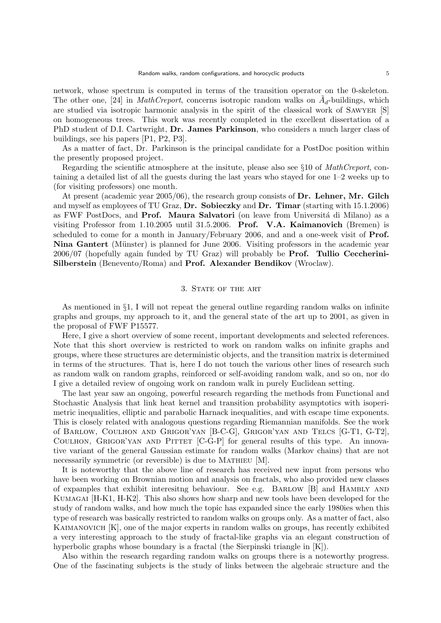network, whose spectrum is computed in terms of the transition operator on the 0-skeleton. The other one, [24] in *MathCreport*, concerns isotropic random walks on  $\tilde{A}_d$ -buildings, which are studied via isotropic harmonic analysis in the spirit of the classical work of Sawyer [S] on homogeneous trees. This work was recently completed in the excellent dissertation of a PhD student of D.I. Cartwright, Dr. James Parkinson, who considers a much larger class of buildings, see his papers [P1, P2, P3].

As a matter of fact, Dr. Parkinson is the principal candidate for a PostDoc position within the presently proposed project.

Regarding the scientific atmosphere at the insitute, please also see §10 of *MathCreport*, containing a detailed list of all the guests during the last years who stayed for one 1–2 weeks up to (for visiting professors) one month.

At present (academic year  $2005/06$ ), the research group consists of  $\mathbf{Dr}$ . Lehner, Mr. Gilch and myself as employees of TU Graz, Dr. Sobieczky and Dr. Timar (starting with 15.1.2006) as FWF PostDocs, and **Prof. Maura Salvatori** (on leave from Università di Milano) as a visiting Professor from 1.10.2005 until 31.5.2006. Prof. V.A. Kaimanovich (Bremen) is scheduled to come for a month in January/February 2006, and and a one-week visit of Prof. Nina Gantert (Münster) is planned for June 2006. Visiting professors in the academic year 2006/07 (hopefully again funded by TU Graz) will probably be Prof. Tullio Ceccherini-Silberstein (Benevento/Roma) and Prof. Alexander Bendikov (Wroclaw).

## 3. STATE OF THE ART

As mentioned in §1, I will not repeat the general outline regarding random walks on infinite graphs and groups, my approach to it, and the general state of the art up to 2001, as given in the proposal of FWF P15577.

Here, I give a short overview of some recent, important developments and selected references. Note that this short overview is restricted to work on random walks on infinite graphs and groups, where these structures are deterministic objects, and the transition matrix is determined in terms of the structures. That is, here I do not touch the various other lines of research such as random walk on random graphs, reinforced or self-avoiding random walk, and so on, nor do I give a detailed review of ongoing work on random walk in purely Euclidean setting.

The last year saw an ongoing, powerful research regarding the methods from Functional and Stochastic Analysis that link heat kernel and transition probability asymptotics with isoperimetric inequalities, elliptic and parabolic Harnack inequalities, and with escape time exponents. This is closely related with analogous questions regarding Riemannian manifolds. See the work of Barlow, Coulhon and Grigor'yan [B-C-G], Grigor'yan and Telcs [G-T1, G-T2], COULHON, GRIGOR'YAN AND PITTET [C-G-P] for general results of this type. An innovative variant of the general Gaussian estimate for random walks (Markov chains) that are not necessarily symmetric (or reversible) is due to MATHIEU [M].

It is noteworthy that the above line of research has received new input from persons who have been working on Brownian motion and analysis on fractals, who also provided new classes of expamples that exhibit interesitng behaviour. See e.g. Barlow [B] and Hambly and Kumagai [H-K1, H-K2]. This also shows how sharp and new tools have been developed for the study of random walks, and how much the topic has expanded since the early 1980ies when this type of research was basically restricted to random walks on groups only. As a matter of fact, also Kaimanovich [K], one of the major experts in random walks on groups, has recently exhibited a very interesting approach to the study of fractal-like graphs via an elegant construction of hyperbolic graphs whose boundary is a fractal (the Sierpinski triangle in [K]).

Also within the research regarding random walks on groups there is a noteworthy progress. One of the fascinating subjects is the study of links between the algebraic structure and the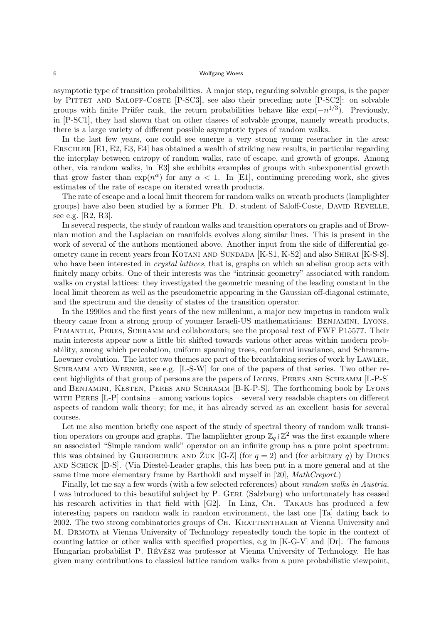asymptotic type of transition probabilities. A major step, regarding solvable groups, is the paper by PITTET AND SALOFF-COSTE [P-SC3], see also their preceding note [P-SC2]: on solvable groups with finite Prüfer rank, the return probabilities behave like  $\exp(-n^{1/3})$ . Previously, in [P-SC1], they had shown that on other clasees of solvable groups, namely wreath products, there is a large variety of different possible asymptotic types of random walks.

In the last few years, one could see emerge a very strong young reseracher in the area: Erschler [E1, E2, E3, E4] has obtained a wealth of striking new results, in particular regarding the interplay between entropy of random walks, rate of escape, and growth of groups. Among other, via random walks, in [E3] she exhibits examples of groups with subexponential growth that grow faster than  $\exp(n^{\alpha})$  for any  $\alpha < 1$ . In [E1], continuing preceding work, she gives estimates of the rate of escape on iterated wreath products.

The rate of escape and a local limit theorem for random walks on wreath products (lamplighter groups) have also been studied by a former Ph. D. student of Saloff-Coste, DAVID REVELLE, see e.g. [R2, R3].

In several respects, the study of random walks and transition operators on graphs and of Brownian motion and the Laplacian on manifolds evolves along similar lines. This is present in the work of several of the authors mentioned above. Another input from the side of differential geometry came in recent years from KOTANI AND SUNDADA [K-S1, K-S2] and also SHIRAI [K-S-S], who have been interested in *crystal lattices*, that is, graphs on which an abelian group acts with finitely many orbits. One of their interests was the "intrinsic geometry" associated with random walks on crystal lattices: they investigated the geometric meaning of the leading constant in the local limit theorem as well as the pseudometric appearing in the Gaussian off-diagonal estimate, and the spectrum and the density of states of the transition operator.

In the 1990ies and the first years of the new millenium, a major new impetus in random walk theory came from a strong group of younger Israeli-US mathematicians: Benjamini, Lyons, PEMANTLE, PERES, SCHRAMM and collaborators; see the proposal text of FWF P15577. Their main interests appear now a little bit shifted towards various other areas within modern probability, among which percolation, uniform spanning trees, conformal invariance, and Schramm-Loewner evolution. The latter two themes are part of the breathtaking series of work by LAWLER, SCHRAMM AND WERNER, see e.g. [L-S-W] for one of the papers of that series. Two other recent highlights of that group of persons are the papers of LYONS, PERES AND SCHRAMM [L-P-S] and BENJAMINI, KESTEN, PERES AND SCHRAMM [B-K-P-S]. The forthcoming book by Lyons with Peres [L-P] contains – among various topics – several very readable chapters on different aspects of random walk theory; for me, it has already served as an excellent basis for several courses.

Let me also mention briefly one aspect of the study of spectral theory of random walk transition operators on groups and graphs. The lamplighter group  $\mathbb{Z}_q \wr \mathbb{Z}^2$  was the first example where an associated "Simple random walk" operator on an infinite group has a pure point spectrum: this was obtained by GRIGORCHUK AND  $Z$ UK  $[G-Z]$  (for  $q = 2$ ) and (for arbitrary q) by DICKS and Schick [D-S]. (Via Diestel-Leader graphs, this has been put in a more general and at the same time more elementary frame by Bartholdi and myself in [20], MathCreport.)

Finally, let me say a few words (with a few selected references) about random walks in Austria. I was introduced to this beautiful subject by P. GERL (Salzburg) who unfortunately has ceased his research activities in that field with [G2]. In Linz, CH. TAKACS has produced a few interesting papers on random walk in random environment, the last one [Ta] dating back to 2002. The two strong combinatorics groups of CH. KRATTENTHALER at Vienna University and M. Drmota at Vienna University of Technology repeatedly touch the topic in the context of counting lattice or other walks with specified properties, e.g in [K-G-V] and [Dr]. The famous Hungarian probabilist P. Révész was professor at Vienna University of Technology. He has given many contributions to classical lattice random walks from a pure probabilistic viewpoint,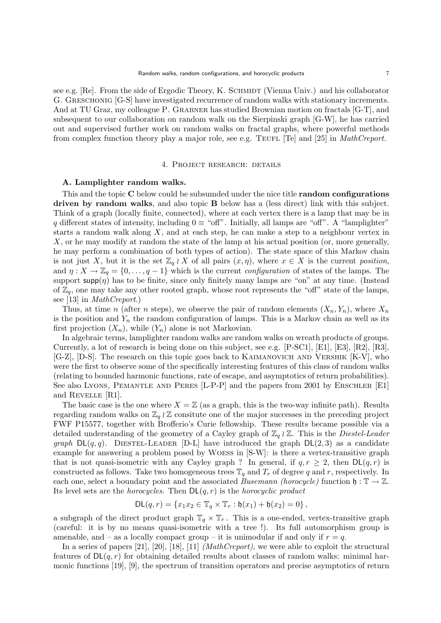see e.g.  $[Re]$ . From the side of Ergodic Theory, K. SCHMIDT (Vienna Univ.) and his collaborator G. GRESCHONIG [G-S] have investigated recurrence of random walks with stationary increments. And at TU Graz, my colleague P. GRABNER has studied Brownian motion on fractals [G-T], and subsequent to our collaboration on random walk on the Sierpinski graph [G-W], he has carried out and supervised further work on random walks on fractal graphs, where powerful methods from complex function theory play a major role, see e.g. TEUFL [Te] and [25] in *MathCreport*.

### 4. Project research: details

# A. Lamplighter random walks.

This and the topic C below could be subsumded under the nice title **random configurations** driven by random walks, and also topic B below has a (less direct) link with this subject. Think of a graph (locally finite, connected), where at each vertex there is a lamp that may be in q different states of intensity, including  $0 \equiv$  "off". Initially, all lamps are "off". A "lamplighter" starts a random walk along  $X$ , and at each step, he can make a step to a neighbour vertex in X, or he may modify at random the state of the lamp at his actual position (or, more generally, he may perform a combination of both types of action). The state space of this Markov chain is not just X, but it is the set  $\mathbb{Z}_q \wr X$  of all pairs  $(x, \eta)$ , where  $x \in X$  is the current position, and  $\eta: X \to \mathbb{Z}_q = \{0, \ldots, q-1\}$  which is the current *configuration* of states of the lamps. The support  $\text{supp}(\eta)$  has to be finite, since only finitely many lamps are "on" at any time. (Instead of  $\mathbb{Z}_q$ , one may take any other rooted graph, whose root represents the "off" state of the lamps, see [13] in MathCreport.)

Thus, at time n (after n steps), we observe the pair of random elements  $(X_n, Y_n)$ , where  $X_n$ is the position and  $Y_n$  the random configuration of lamps. This is a Markov chain as well as its first projection  $(X_n)$ , while  $(Y_n)$  alone is not Markovian.

In algebraic terms, lamplighter random walks are random walks on wreath products of groups. Currently, a lot of research is being done on this subject, see e.g. [P-SC1], [E1], [E3], [R2], [R3], [G-Z], [D-S]. The research on this topic goes back to Kaimanovich and Vershik [K-V], who were the first to observe some of the specifically interesting features of this class of random walks (relating to bounded harmonic functions, rate of escape, and asymptotics of return probabilities). See also Lyons, PEMANTLE AND PERES [L-P-P] and the papers from 2001 by ERSCHLER [E1] and Revelle [R1].

The basic case is the one where  $X = \mathbb{Z}$  (as a graph, this is the two-way infinite path). Results regarding random walks on  $\mathbb{Z}_q \wr \mathbb{Z}$  consitute one of the major successes in the preceding project FWF P15577, together with Brofferio's Curie fellowship. These results became possible via a detailed understanding of the geometry of a Cayley graph of  $\mathbb{Z}_q \wr \mathbb{Z}$ . This is the *Diestel-Leader* graph  $DL(q, q)$ . DIESTEL-LEADER [D-L] have introduced the graph  $DL(2, 3)$  as a candidate example for answering a problem posed by Woess in [S-W]: is there a vertex-transitive graph that is not quasi-isometric with any Cayley graph ? In general, if  $q, r \geq 2$ , then  $DL(q, r)$  is constructed as follows. Take two homogeneous trees  $\mathbb{T}_q$  and  $T_r$  of degree q and r, respectively. In each one, select a boundary point and the associated *Busemann (horocycle)* function  $\mathfrak{h} : \mathbb{T} \to \mathbb{Z}$ . Its level sets are the *horocycles*. Then  $DL(q, r)$  is the *horocyclic product* 

$$
DL(q,r) = \{x_1x_2 \in \mathbb{T}_q \times \mathbb{T}_r : \mathfrak{h}(x_1) + \mathfrak{h}(x_2) = 0\},
$$

a subgraph of the direct product graph  $\mathbb{T}_q \times \mathbb{T}_r$ . This is a one-ended, vertex-transitive graph (careful: it is by no means quasi-isometric with a tree !). Its full automorphism group is amenable, and – as a locally compact group – it is unimodular if and only if  $r = q$ .

In a series of papers [21], [20], [18], [11] *(MathCreport)*, we were able to exploit the structural features of  $DL(q, r)$  for obtaining detailed results about classes of random walks: minimal harmonic functions [19], [9], the spectrum of transition operators and precise asymptotics of return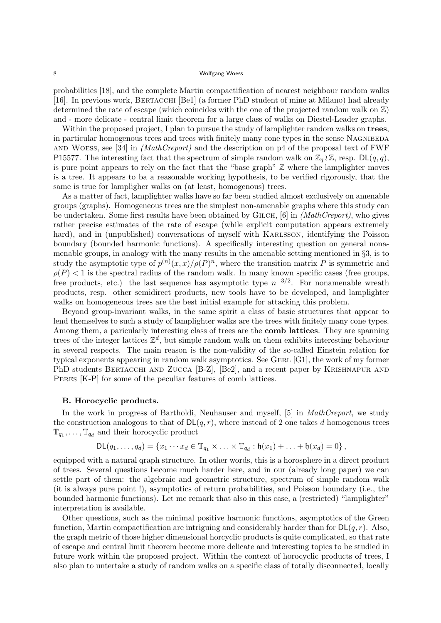probabilities [18], and the complete Martin compactification of nearest neighbour random walks [16]. In previous work, BERTACCHI [Be1] (a former PhD student of mine at Milano) had already determined the rate of escape (which coincides with the one of the projected random walk on  $\mathbb{Z}$ ) and - more delicate - central limit theorem for a large class of walks on Diestel-Leader graphs.

Within the proposed project, I plan to pursue the study of lamplighter random walks on trees, in particular homogenous trees and trees with finitely many cone types in the sense NAGNIBEDA and Woess, see [34] in (MathCreport) and the description on p4 of the proposal text of FWF P15577. The interesting fact that the spectrum of simple random walk on  $\mathbb{Z}_q \wr \mathbb{Z}$ , resp.  $\mathsf{DL}(q,q)$ , is pure point appears to rely on the fact that the "base graph" Z where the lamplighter moves is a tree. It appears to ba a reasonable working hypothesis, to be verified rigorously, that the same is true for lampligher walks on (at least, homogenous) trees.

As a matter of fact, lamplighter walks have so far been studied almost exclusively on amenable groups (graphs). Homogeneous trees are the simplest non-amenable graphs where this study can be undertaken. Some first results have been obtained by GILCH,  $[6]$  in *(MathCreport)*, who gives rather precise estimates of the rate of escape (while explicit computation appears extremely hard), and in (unpublished) conversations of myself with KARLSSON, identifying the Poisson boundary (bounded harmonic functions). A specifically interesting question on general nonamenable groups, in analogy with the many results in the amenable setting mentioned in §3, is to study the asymptotic type of  $p^{(n)}(x,x)/\rho(P)^n$ , where the transition matrix P is symmetric and  $\rho(P)$  < 1 is the spectral radius of the random walk. In many known specific cases (free groups, free products, etc.) the last sequence has asymptotic type  $n^{-3/2}$ . For nonamenable wreath products, resp. other semidirect products, new tools have to be developed, and lamplighter walks on homogeneous trees are the best initial example for attacking this problem.

Beyond group-invariant walks, in the same spirit a class of basic structures that appear to lend themselves to such a study of lamplighter walks are the trees with finitely many cone types. Among them, a paricularly interesting class of trees are the comb lattices. They are spanning trees of the integer lattices  $\mathbb{Z}^d$ , but simple random walk on them exhibits interesting behaviour in several respects. The main reason is the non-validity of the so-called Einstein relation for typical exponents appearing in random walk asymptotics. See GERL  $[G1]$ , the work of my former PhD students BERTACCHI AND ZUCCA [B-Z], [Be2], and a recent paper by KRISHNAPUR AND PERES [K-P] for some of the peculiar features of comb lattices.

### B. Horocyclic products.

In the work in progress of Bartholdi, Neuhauser and myself, [5] in *MathCreport*, we study the construction analogous to that of  $DL(q, r)$ , where instead of 2 one takes d homogenous trees  $\mathbb{T}_{q_1}, \ldots, \mathbb{T}_{q_d}$  and their horocyclic product

$$
\mathsf{DL}(q_1,\ldots,q_d)=\{x_1\cdots x_d\in\mathbb{T}_{q_1}\times\ldots\times\mathbb{T}_{q_d}:\mathfrak{h}(x_1)+\ldots+\mathfrak{h}(x_d)=0\}\,,
$$

equipped with a natural qraph structure. In other words, this is a horosphere in a direct product of trees. Several questions become much harder here, and in our (already long paper) we can settle part of them: the algebraic and geometric structure, spectrum of simple random walk (it is always pure point !), asymptotics of return probabilities, and Poisson boundary (i.e., the bounded harmonic functions). Let me remark that also in this case, a (restricted) "lamplighter" interpretation is available.

Other questions, such as the minimal positive harmonic functions, asymptotics of the Green function, Martin compactification are intriguing and considerably harder than for  $DL(q, r)$ . Also, the graph metric of those higher dimensional horcyclic products is quite complicated, so that rate of escape and central limit theorem become more delicate and interesting topics to be studied in future work within the proposed project. Within the context of horocyclic products of trees, I also plan to untertake a study of random walks on a specific class of totally disconnected, locally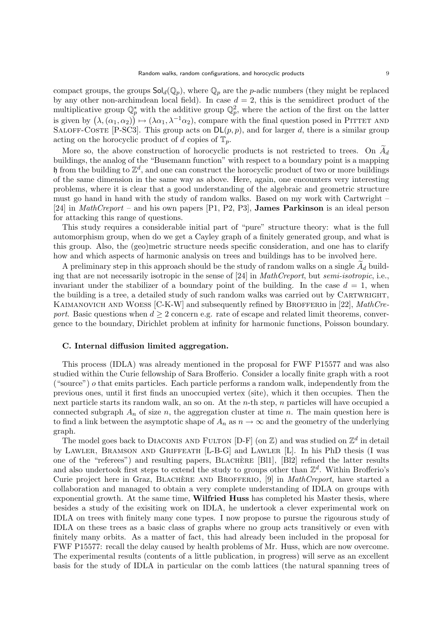compact groups, the groups  $\text{Sol}_d(\mathbb{Q}_p)$ , where  $\mathbb{Q}_p$  are the p-adic numbers (they might be replaced by any other non-archimdean local field). In case  $d = 2$ , this is the semidirect product of the multiplicative group  $\mathbb{Q}_p^*$  with the additive group  $\mathbb{Q}_p^2$ , where the action of the first on the latter is given by  $(\lambda, (\alpha_1, \alpha_2)) \mapsto (\lambda \alpha_1, \lambda^{-1} \alpha_2)$ , compare with the final question posed in PITTET AND SALOFF-COSTE [P-SC3]. This group acts on  $DL(p, p)$ , and for larger d, there is a similar group acting on the horocyclic product of d copies of  $\mathbb{T}_p$ .

More so, the above construction of horocyclic products is not restricted to trees. On  $A_d$  buildings, the analog of the "Busemann function" with respect to a boundary point is a mapping  $\mathfrak h$  from the building to  $\mathbb Z^d$ , and one can construct the horocyclic product of two or more buildings of the same dimension in the same way as above. Here, again, one encounters very interesting problems, where it is clear that a good understanding of the algebraic and geometric structure must go hand in hand with the study of random walks. Based on my work with Cartwright – [24] in MathCreport – and his own papers [P1, P2, P3], James Parkinson is an ideal person for attacking this range of questions.

This study requires a considerable initial part of "pure" structure theory: what is the full automorphism group, when do we get a Cayley graph of a finitely generated group, and what is this group. Also, the (geo)metric structure needs specific consideration, and one has to clarify how and which aspects of harmonic analysis on trees and buildings has to be involved here.

A preliminary step in this approach should be the study of random walks on a single  $A_d$  building that are not necessarily isotropic in the sense of [24] in MathCreport, but semi-isotropic, i.e., invariant under the stabilizer of a boundary point of the building. In the case  $d = 1$ , when the building is a tree, a detailed study of such random walks was carried out by CARTWRIGHT, KAIMANOVICH AND WOESS  $[C-K-W]$  and subsequently refined by BROFFERIO in [22], MathCreport. Basic questions when  $d \geq 2$  concern e.g. rate of escape and related limit theorems, convergence to the boundary, Dirichlet problem at infinity for harmonic functions, Poisson boundary.

#### C. Internal diffusion limited aggregation.

This process (IDLA) was already mentioned in the proposal for FWF P15577 and was also studied within the Curie fellowship of Sara Brofferio. Consider a locally finite graph with a root ("source")  $\sigma$  that emits particles. Each particle performs a random walk, independently from the previous ones, until it first finds an unoccupied vertex (site), which it then occupies. Then the next particle starts its random walk, an so on. At the *n*-th step, *n* particles will have occupied a connected subgraph  $A_n$  of size n, the aggregation cluster at time n. The main question here is to find a link between the asymptotic shape of  $A_n$  as  $n \to \infty$  and the geometry of the underlying graph.

The model goes back to DIACONIS AND FULTON  $[D-F]$  (on  $\mathbb{Z}$ ) and was studied on  $\mathbb{Z}^d$  in detail by Lawler, Bramson and Griffeath [L-B-G] and Lawler [L]. In his PhD thesis (I was one of the "referees") and resulting papers, BLACHERE [Bl1], [Bl2] refined the latter results and also undertook first steps to extend the study to groups other than  $\mathbb{Z}^d$ . Within Brofferio's Curie project here in Graz, BLACHERE AND BROFFERIO,  $[9]$  in *MathCreport*, have started a collaboration and managed to obtain a very complete understanding of IDLA on groups with exponential growth. At the same time, Wilfried Huss has completed his Master thesis, where besides a study of the exisiting work on IDLA, he undertook a clever experimental work on IDLA on trees with finitely many cone types. I now propose to pursue the rigourous study of IDLA on these trees as a basic class of graphs where no group acts transitively or even with finitely many orbits. As a matter of fact, this had already been included in the proposal for FWF P15577: recall the delay caused by health problems of Mr. Huss, which are now overcome. The experimental results (contents of a little publication, in progress) will serve as an excellent basis for the study of IDLA in particular on the comb lattices (the natural spanning trees of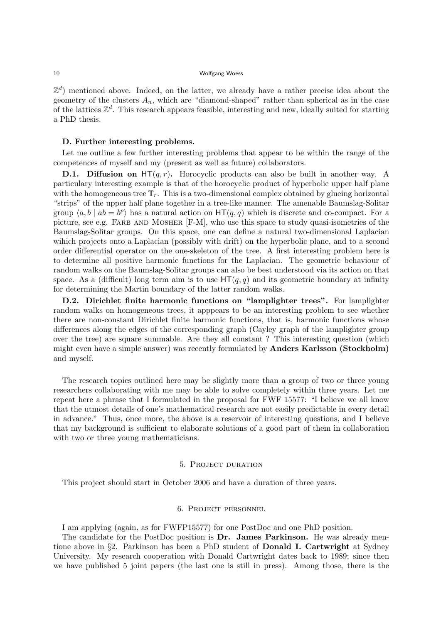$\mathbb{Z}^d$ ) mentioned above. Indeed, on the latter, we already have a rather precise idea about the geometry of the clusters  $A_n$ , which are "diamond-shaped" rather than spherical as in the case of the lattices  $\mathbb{Z}^d$ . This research appears feasible, interesting and new, ideally suited for starting a PhD thesis.

# D. Further interesting problems.

Let me outline a few further interesting problems that appear to be within the range of the competences of myself and my (present as well as future) collaborators.

**D.1. Diffusion on**  $HT(q, r)$ . Horocyclic products can also be built in another way. A particulary interesting example is that of the horocyclic product of hyperbolic upper half plane with the homogeneous tree  $\mathbb{T}_r$ . This is a two-dimensional complex obtained by glueing horizontal "strips" of the upper half plane together in a tree-like manner. The amenable Baumslag-Solitar group  $\langle a, b \mid ab = b^p \rangle$  has a natural action on  $HT(q, q)$  which is discrete and co-compact. For a picture, see e.g. FARB AND MOSHER [F-M], who use this space to study quasi-isometries of the Baumslag-Solitar groups. On this space, one can define a natural two-dimensional Laplacian wihich projects onto a Laplacian (possibly with drift) on the hyperbolic plane, and to a second order differential operator on the one-skeleton of the tree. A first interesting problem here is to determine all positive harmonic functions for the Laplacian. The geometric behaviour of random walks on the Baumslag-Solitar groups can also be best understood via its action on that space. As a (difficult) long term aim is to use  $HT(q, q)$  and its geometric boundary at infinity for determining the Martin boundary of the latter random walks.

D.2. Dirichlet finite harmonic functions on "lamplighter trees". For lamplighter random walks on homogeneous trees, it apppears to be an interesting problem to see whether there are non-constant Dirichlet finite harmonic functions, that is, harmonic functions whose differences along the edges of the corresponding graph (Cayley graph of the lamplighter group over the tree) are square summable. Are they all constant ? This interesting question (which might even have a simple answer) was recently formulated by Anders Karlsson (Stockholm) and myself.

The research topics outlined here may be slightly more than a group of two or three young researchers collaborating with me may be able to solve completely within three years. Let me repeat here a phrase that I formulated in the proposal for FWF 15577: "I believe we all know that the utmost details of one's mathematical research are not easily predictable in every detail in advance." Thus, once more, the above is a reservoir of interesting questions, and I believe that my background is sufficient to elaborate solutions of a good part of them in collaboration with two or three young mathematicians.

#### 5. Project duration

This project should start in October 2006 and have a duration of three years.

# 6. Project personnel

I am applying (again, as for FWFP15577) for one PostDoc and one PhD position.

The candidate for the PostDoc position is Dr. James Parkinson. He was already mentione above in §2. Parkinson has been a PhD student of Donald I. Cartwright at Sydney University. My research cooperation with Donald Cartwright dates back to 1989; since then we have published 5 joint papers (the last one is still in press). Among those, there is the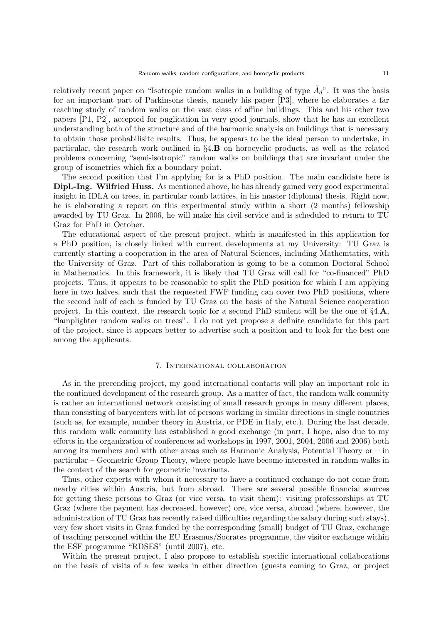relatively recent paper on "Isotropic random walks in a building of type  $\tilde{A}_d$ ". It was the basis for an important part of Parkinsons thesis, namely his paper [P3], where he elaborates a far reaching study of random walks on the vast class of affine buildings. This and his other two papers [P1, P2], accepted for puglication in very good journals, show that he has an excellent understanding both of the structure and of the harmonic analysis on buildings that is necessary to obtain those probabilisitc results. Thus, he appears to be the ideal person to undertake, in particular, the research work outlined in §4.B on horocyclic products, as well as the related problems concerning "semi-isotropic" random walks on buildings that are invariant under the group of isometries which fix a boundary point.

The second position that I'm applying for is a PhD position. The main candidate here is Dipl.-Ing. Wilfried Huss. As mentioned above, he has already gained very good experimental insight in IDLA on trees, in particular comb lattices, in his master (diploma) thesis. Right now, he is elaborating a report on this experimental study within a short (2 months) fellowship awarded by TU Graz. In 2006, he will make his civil service and is scheduled to return to TU Graz for PhD in October.

The educational aspect of the present project, which is manifested in this application for a PhD position, is closely linked with current developments at my University: TU Graz is currently starting a cooperation in the area of Natural Sciences, including Mathemtatics, with the University of Graz. Part of this collaboration is going to be a common Doctoral School in Mathematics. In this framework, it is likely that TU Graz will call for "co-financed" PhD projects. Thus, it appears to be reasonable to split the PhD position for which I am applying here in two halves, such that the requested FWF funding can cover two PhD positions, where the second half of each is funded by TU Graz on the basis of the Natural Science cooperation project. In this context, the research topic for a second PhD student will be the one of §4.A, "lamplighter random walks on trees". I do not yet propose a definite candidate for this part of the project, since it appears better to advertise such a position and to look for the best one among the applicants.

#### 7. International collaboration

As in the precending project, my good international contacts will play an important role in the continued development of the research group. As a matter of fact, the random walk comunity is rather an international network consisting of small research groups in many different places, than consisting of barycenters with lot of persons working in similar directions in single countries (such as, for example, number theory in Austria, or PDE in Italy, etc.). During the last decade, this random walk comunity has established a good exchange (in part, I hope, also due to my efforts in the organization of conferences ad workshops in 1997, 2001, 2004, 2006 and 2006) both among its members and with other areas such as Harmonic Analysis, Potential Theory or – in particular – Geometric Group Theory, where people have become interested in random walks in the context of the search for geometric invariants.

Thus, other experts with whom it necessary to have a continued exchange do not come from nearby cities within Austria, but from abroad. There are several possible financial sources for getting these persons to Graz (or vice versa, to visit them): visiting professorships at TU Graz (where the payment has decreased, however) ore, vice versa, abroad (where, however, the administration of TU Graz has recently raised difficulties regarding the salary during such stays), very few short visits in Graz funded by the corresponding (small) budget of TU Graz, exchange of teaching personnel within the EU Erasmus/Socrates programme, the visitor exchange within the ESF programme "RDSES" (until 2007), etc.

Within the present project, I also propose to establish specific international collaborations on the basis of visits of a few weeks in either direction (guests coming to Graz, or project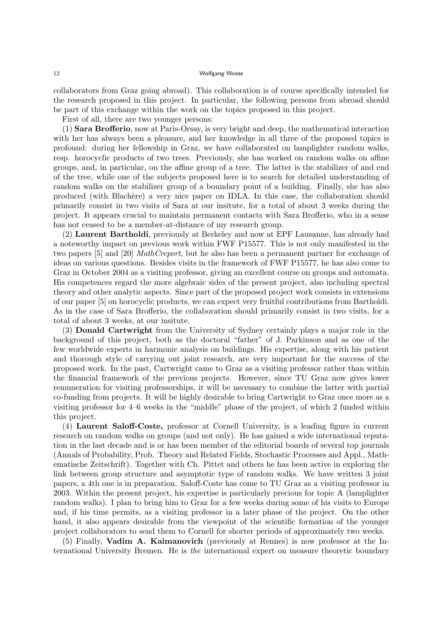collaborators from Graz going abroad). This collaboration is of course specifically intended for the research proposed in this project. In particular, the following persons from abroad should be part of this exchange within the work on the topics proposed in this project.

First of all, there are two younger persons:

(1) Sara Brofferio, now at Paris-Orsay, is very bright and deep, the mathematical interaction with her has always been a pleasure, and her knowledge in all three of the proposed topics is profound: during her fellowship in Graz, we have collaborated on lamplighter random walks, resp. horocyclic products of two trees. Previously, she has worked on random walks on affine groups, and, in particular, on the affine group of a tree. The latter is the stabilizer of and end of the tree, while one of the subjects proposed here is to search for detailed understanding of random walks on the stabilizer group of a boundary point of a building. Finally, she has also produced (with Blach`ere) a very nice paper on IDLA. In this case, the collaboration should primarily consist in two visits of Sara at our insitute, for a total of about 3 weeks during the project. It appears crucial to maintain permanent contacts with Sara Brofferio, who in a sense has not ceased to be a member-at-distance of my research group.

(2) Laurent Bartholdi, previously at Berkeley and now at EPF Lausanne, has already had a noteworthy impact on previous work within FWF P15577. This is not only manifested in the two papers [5] and [20] MathCreport, but he also has been a permanent partner for exchange of ideas on various questions. Besides visits in the framework of FWF P15577, he has also come to Graz in October 2004 as a visiting professor, giving an excellent course on groups and automata. His competences regard the more algebraic sides of the present project, also including spectral theory and other analytic aspects. Since part of the proposed project work consists in extensions of our paper [5] on horocyclic products, we can expect very fruitful contributions from Bartholdi. As in the case of Sara Brofferio, the collaboration should primarily consist in two visits, for a total of about 3 weeks, at our insitute.

(3) Donald Cartwright from the University of Sydney certainly plays a major role in the background of this project, both as the doctoral "father" of J. Parkinson and as one of the few worldwide experts in harmonic analysis on buildings. His expertise, along with his patient and thorough style of carrying out joint research, are very important for the success of the proposed work. In the past, Cartwright came to Graz as a visiting professor rather than within the financial framework of the previous projects. However, since TU Graz now gives lower remuneration for visiting professorships, it will be necessary to combine the latter with partial co-funding from projects. It will be highly desirable to bring Cartwright to Graz once more as a visiting professor for 4–6 weeks in the "middle" phase of the project, of which 2 funded within this project.

(4) Laurent Saloff-Coste, professor at Cornell University, is a leading figure in current research on random walks on groups (and not only). He has gained a wide international reputation in the last decade and is or has been member of the editorial boards of several top journals (Annals of Probability, Prob. Theory and Related Fields, Stochastic Processes and Appl., Mathematische Zeitschrift). Together with Ch. Pittet and others he has been active in exploring the link between group structure and asymptotic type of random walks. We have written 3 joint papers, a 4th one is in preparation. Saloff-Coste has come to TU Graz as a visiting professor in 2003. Within the present project, his expertise is particularly precious for topic A (lamplighter random walks). I plan to bring him to Graz for a few weeks during some of his visits to Europe and, if his time permits, as a visiting professor in a later phase of the project. On the other hand, it also appears desirable from the viewpoint of the scientific formation of the younger project collaborators to send them to Cornell for shorter periods of approximately two weeks.

(5) Finally, Vadim A. Kaimanovich (previously at Rennes) is now professor at the International University Bremen. He is the international expert on measure theoretic boundary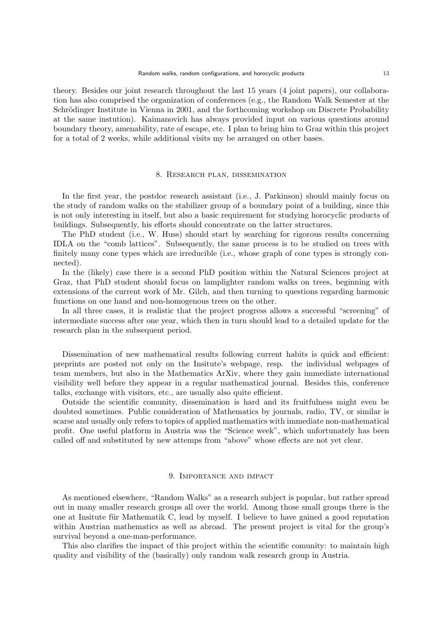theory. Besides our joint research throughout the last 15 years (4 joint papers), our collaboration has also comprised the organization of conferences (e.g., the Random Walk Semester at the Schrödinger Institute in Vienna in 2001, and the forthcoming workshop on Discrete Probability at the same instution). Kaimanovich has always provided input on various questions around boundary theory, amenability, rate of escape, etc. I plan to bring him to Graz within this project for a total of 2 weeks, while additional visits my be arranged on other bases.

#### 8. Research plan, dissemination

In the first year, the postdoc research assistant (i.e., J. Parkinson) should mainly focus on the study of random walks on the stabilizer group of a boundary point of a building, since this is not only interesting in itself, but also a basic requirement for studying horocyclic products of buildings. Subsequently, his efforts should concentrate on the latter structures.

The PhD student (i.e., W. Huss) should start by searching for rigorous results concerning IDLA on the "comb lattices". Subsequently, the same process is to be studied on trees with finitely many cone types which are irreducible (i.e., whose graph of cone types is strongly connected).

In the (likely) case there is a second PhD position within the Natural Sciences project at Graz, that PhD student should focus on lamplighter random walks on trees, beginning with extensions of the current work of Mr. Gilch, and then turning to questions regarding harmonic functions on one hand and non-homogenous trees on the other.

In all three cases, it is realistic that the project progress allows a successful "screening" of intermediate success after one year, which then in turn should lead to a detailed update for the research plan in the subsequent period.

Dissemination of new mathematical results following current habits is quick and efficient: preprints are posted not only on the Insitute's webpage, resp. the individual webpages of team members, but also in the Mathematics ArXiv, where they gain immediate international visibility well before they appear in a regular mathematical journal. Besides this, conference talks, exchange with visitors, etc., are usually also quite efficient.

Outside the scientific comunity, dissemination is hard and its fruitfulness might even be doubted sometimes. Public consideration of Mathematics by journals, radio, TV, or similar is scarse and usually only refers to topics of applied mathematics with immediate non-mathematical profit. One useful platform in Austria was the "Science week", which unfortunately has been called off and substituted by new attemps from "above" whose effects are not yet clear.

## 9. Importance and impact

As mentioned elsewhere, "Random Walks" as a research subject is popular, but rather spread out in many smaller research groups all over the world. Among those small groups there is the one at Insitute für Mathematik C, lead by myself. I believe to have gained a good reputation within Austrian mathematics as well as abroad. The present project is vital for the group's survival beyond a one-man-performance.

This also clarifies the impact of this project within the scientific comunity: to maintain high quality and visibility of the (basically) only random walk research group in Austria.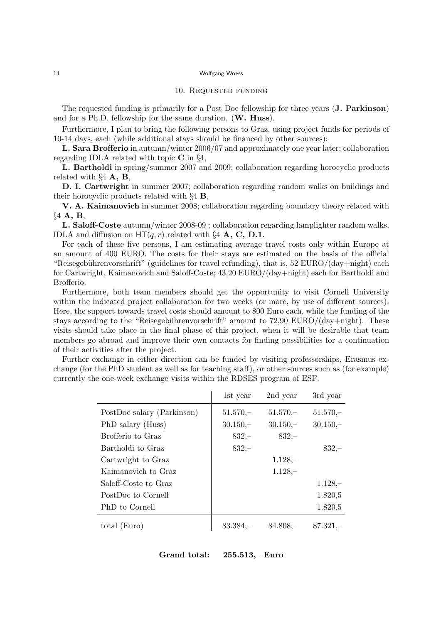#### 10. Requested funding

The requested funding is primarily for a Post Doc fellowship for three years (J. Parkinson) and for a Ph.D. fellowship for the same duration. (W. Huss).

Furthermore, I plan to bring the following persons to Graz, using project funds for periods of 10-14 days, each (while additional stays should be financed by other sources):

L. Sara Brofferio in autumn/winter 2006/07 and approximately one year later; collaboration regarding IDLA related with topic C in §4,

L. Bartholdi in spring/summer 2007 and 2009; collaboration regarding horocyclic products related with  $\S 4$  **A**, **B**,

D. I. Cartwright in summer 2007; collaboration regarding random walks on buildings and their horocyclic products related with  $\S 4$  **B**,

V. A. Kaimanovich in summer 2008; collaboration regarding boundary theory related with §4 A, B,

L. Saloff-Coste autumn/winter 2008-09 ; collaboration regarding lamplighter random walks, IDLA and diffusion on  $HT(q, r)$  related with §4 **A, C, D.1**.

For each of these five persons, I am estimating average travel costs only within Europe at an amount of 400 EURO. The costs for their stays are estimated on the basis of the official "Reisegebührenvorschrift" (guidelines for travel refunding), that is, 52 EURO/(day+night) each for Cartwright, Kaimanovich and Saloff-Coste; 43,20 EURO/(day+night) each for Bartholdi and Brofferio.

Furthermore, both team members should get the opportunity to visit Cornell University within the indicated project collaboration for two weeks (or more, by use of different sources). Here, the support towards travel costs should amount to 800 Euro each, while the funding of the stays according to the "Reisegebührenvorschrift" amount to  $72,90$  EURO/(day+night). These visits should take place in the final phase of this project, when it will be desirable that team members go abroad and improve their own contacts for finding possibilities for a continuation of their activities after the project.

Further exchange in either direction can be funded by visiting professorships, Erasmus exchange (for the PhD student as well as for teaching staff), or other sources such as (for example) currently the one-week exchange visits within the RDSES program of ESF.

|                            | 1st year   | 2nd year   | 3rd year   |
|----------------------------|------------|------------|------------|
| PostDoc salary (Parkinson) | $51.570 -$ | $51.570 -$ | $51.570 -$ |
| PhD salary (Huss)          | $30.150 -$ | $30.150 -$ | $30.150 -$ |
| Brofferio to Graz          | $832,-$    | $832 -$    |            |
| Bartholdi to Graz          | $832 -$    |            | $832 -$    |
| Cartwright to Graz         |            | $1.128 -$  |            |
| Kaimanovich to Graz        |            | $1.128 -$  |            |
| Saloff-Coste to Graz       |            |            | $1.128 -$  |
| PostDoc to Cornell         |            |            | 1.820,5    |
| PhD to Cornell             |            |            | 1.820,5    |
| total (Euro)               | $83.384 -$ | $84.808 -$ | $87.321 -$ |

Grand total: 255.513,– Euro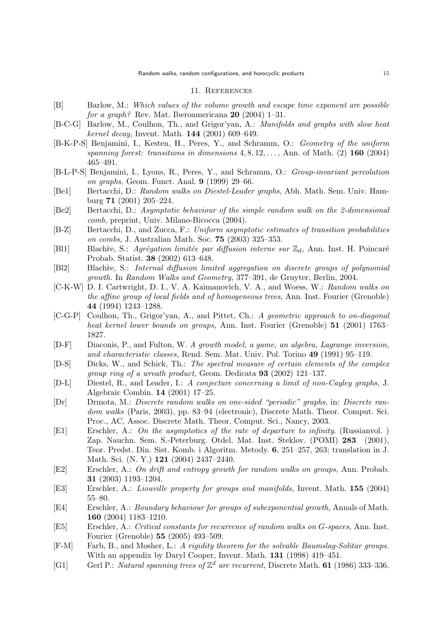#### 11. References

- [B] Barlow, M.: Which values of the volume growth and escape time exponent are possible for a graph? Rev. Mat. Iberoamericana  $20$  (2004) 1–31.
- [B-C-G] Barlow, M., Coulhon, Th., and Grigor'yan, A.: Manifolds and graphs with slow heat kernel decay, Invent. Math. 144 (2001) 609–649.
- [B-K-P-S] Benjamini, I., Kesten, H., Peres, Y., and Schramm, O.: Geometry of the uniform spanning forest: transitions in dimensions  $4, 8, 12, \ldots$ , Ann. of Math. (2) 160 (2004) 465–491.
- [B-L-P-S] Benjamini, I., Lyons, R., Peres, Y., and Schramm, O.: Group-invariant percolation on graphs, Geom. Funct. Anal. 9 (1999) 29–66.
- [Be1] Bertacchi, D.: Random walks on Diestel-Leader graphs, Abh. Math. Sem. Univ. Hamburg 71 (2001) 205–224.
- [Be2] Bertacchi, D.: Asymptotic behaviour of the simple random walk on the 2-dimensional comb, preprint, Univ. Milano-Bicocca (2004).
- [B-Z] Bertacchi, D., and Zucca, F.: Uniform asymptotic estimates of transition probabilities on combs, J. Australian Math. Soc. 75 (2003) 325–353.
- [Bl1] Blachre, S.: Agrégation limitée par diffusion interne sur  $\mathbb{Z}_d$ , Ann. Inst. H. Poincaré Probab. Statist. 38 (2002) 613–648.
- [Bl2] Blach`re, S.: Internal diffusion limited aggregation on discrete groups of polynomial growth. In Random Walks and Geometry, 377–391, de Gruyter, Berlin, 2004.
- [C-K-W] D. I. Cartwright, D. I., V. A. Kaimanovich, V. A., and Woess, W.: Random walks on the affine group of local fields and of homogeneous trees, Ann. Inst. Fourier (Grenoble) 44 (1994) 1243–1288.
- [C-G-P] Coulhon, Th., Grigor'yan, A., and Pittet, Ch.: A geometric approach to on-diagonal heat kernel lower bounds on groups, Ann. Inst. Fourier (Grenoble) 51 (2001) 1763– 1827.
- [D-F] Diaconis, P., and Fulton, W. A growth model, a game, an algebra, Lagrange inversion, and characteristic classes, Rend. Sem. Mat. Univ. Pol. Torino 49 (1991) 95–119.
- [D-S] Dicks, W., and Schick, Th.: The spectral measure of certain elements of the complex group ring of a wreath product, Geom. Dedicata 93 (2002) 121–137.
- [D-L] Diestel, R., and Leader, I.: A conjecture concerning a limit of non-Cayley graphs, J. Algebraic Combin. 14 (2001) 17–25.
- [Dr] Drmota, M.: Discrete random walks on one-sided "periodic" graphs, in: Discrete random walks (Paris, 2003), pp. 83–94 (electronic), Discrete Math. Theor. Comput. Sci. Proc., AC, Assoc. Discrete Math. Theor. Comput. Sci., Nancy, 2003.
- [E1] Erschler, A.: On the asymptotics of the rate of departure to infinity. (Russianvol. ) Zap. Nauchn. Sem. S.-Peterburg. Otdel. Mat. Inst. Steklov. (POMI) 283 (2001), Teor. Predst. Din. Sist. Komb. i Algoritm. Metody. 6, 251–257, 263; translation in J. Math. Sci. (N. Y.) 121 (2004) 2437–2440.
- [E2] Erschler, A.: On drift and entropy growth for random walks on groups, Ann. Probab. 31 (2003) 1193–1204.
- [E3] Erschler, A.: Liouville property for groups and manifolds, Invent. Math. 155 (2004) 55–80.
- [E4] Erschler, A.: Boundary behaviour for groups of subexponential growth, Annals of Math. 160 (2004) 1183–1210.
- [E5] Erschler, A.: Critical constants for recurrence of random walks on G-spaces, Ann. Inst. Fourier (Grenoble) 55 (2005) 493–509.
- [F-M] Farb, B., and Mosher, L.: A rigidity theorem for the solvable Baumslag-Solitar groups. With an appendix by Daryl Cooper, Invent. Math. 131 (1998) 419–451.
- [G1] Gerl P.: Natural spanning trees of  $\mathbb{Z}^d$  are recurrent, Discrete Math. 61 (1986) 333-336.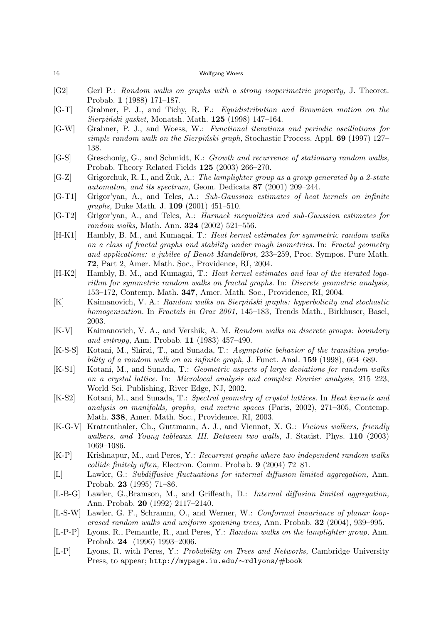- [G2] Gerl P.: Random walks on graphs with a strong isoperimetric property, J. Theoret. Probab. 1 (1988) 171–187.
- [G-T] Grabner, P. J., and Tichy, R. F.: Equidistribution and Brownian motion on the  $Sierpiński gasket, Monatsh. Math. 125 (1998) 147–164.$
- [G-W] Grabner, P. J., and Woess, W.: Functional iterations and periodic oscillations for simple random walk on the Sierpinski graph, Stochastic Process. Appl.  $69$  (1997) 127– 138.
- [G-S] Greschonig, G., and Schmidt, K.: Growth and recurrence of stationary random walks, Probab. Theory Related Fields 125 (2003) 266–270.
- [G-Z] Grigorchuk, R. I., and Zuk, A.: ˙ The lamplighter group as a group generated by a 2-state automaton, and its spectrum, Geom. Dedicata 87 (2001) 209–244.
- [G-T1] Grigor'yan, A., and Telcs, A.: Sub-Gaussian estimates of heat kernels on infinite graphs, Duke Math. J. 109 (2001) 451–510.
- [G-T2] Grigor'yan, A., and Telcs, A.: Harnack inequalities and sub-Gaussian estimates for random walks, Math. Ann. 324 (2002) 521–556.
- [H-K1] Hambly, B. M., and Kumagai, T.: Heat kernel estimates for symmetric random walks on a class of fractal graphs and stability under rough isometries. In: Fractal geometry and applications: a jubilee of Benot Mandelbrot, 233–259, Proc. Sympos. Pure Math. 72, Part 2, Amer. Math. Soc., Providence, RI, 2004.
- [H-K2] Hambly, B. M., and Kumagai, T.: Heat kernel estimates and law of the iterated logarithm for symmetric random walks on fractal graphs. In: Discrete geometric analysis, 153–172, Contemp. Math. 347, Amer. Math. Soc., Providence, RI, 2004.
- [K] Kaimanovich, V. A.: Random walks on Sierpiński graphs: hyperbolicity and stochastic homogenization. In Fractals in Graz 2001, 145–183, Trends Math., Birkhuser, Basel, 2003.
- [K-V] Kaimanovich, V. A., and Vershik, A. M. Random walks on discrete groups: boundary and entropy, Ann. Probab. 11 (1983) 457–490.
- [K-S-S] Kotani, M., Shirai, T., and Sunada, T.: Asymptotic behavior of the transition probability of a random walk on an infinite graph, J. Funct. Anal. **159** (1998), 664–689.
- [K-S1] Kotani, M., and Sunada, T.: Geometric aspects of large deviations for random walks on a crystal lattice. In: Microlocal analysis and complex Fourier analysis, 215–223, World Sci. Publishing, River Edge, NJ, 2002.
- [K-S2] Kotani, M., and Sunada, T.: Spectral geometry of crystal lattices. In Heat kernels and analysis on manifolds, graphs, and metric spaces (Paris, 2002), 271–305, Contemp. Math. 338, Amer. Math. Soc., Providence, RI, 2003.
- [K-G-V] Krattenthaler, Ch., Guttmann, A. J., and Viennot, X. G.: Vicious walkers, friendly walkers, and Young tableaux. III. Between two walls, J. Statist. Phys. 110 (2003) 1069–1086.
- [K-P] Krishnapur, M., and Peres, Y.: Recurrent graphs where two independent random walks collide finitely often, Electron. Comm. Probab. 9 (2004) 72–81.
- [L] Lawler, G.: Subdiffusive fluctuations for internal diffusion limited aggregation, Ann. Probab. 23 (1995) 71–86.
- [L-B-G] Lawler, G.,Bramson, M., and Griffeath, D.: Internal diffusion limited aggregation, Ann. Probab. 20 (1992) 2117–2140.
- [L-S-W] Lawler, G. F., Schramm, O., and Werner, W.: Conformal invariance of planar looperased random walks and uniform spanning trees, Ann. Probab. 32 (2004), 939–995.
- [L-P-P] Lyons, R., Pemantle, R., and Peres, Y.: Random walks on the lamplighter group, Ann. Probab. 24 (1996) 1993–2006.
- [L-P] Lyons, R. with Peres, Y.: Probability on Trees and Networks, Cambridge University Press, to appear; http://mypage.iu.edu/∼rdlyons/#book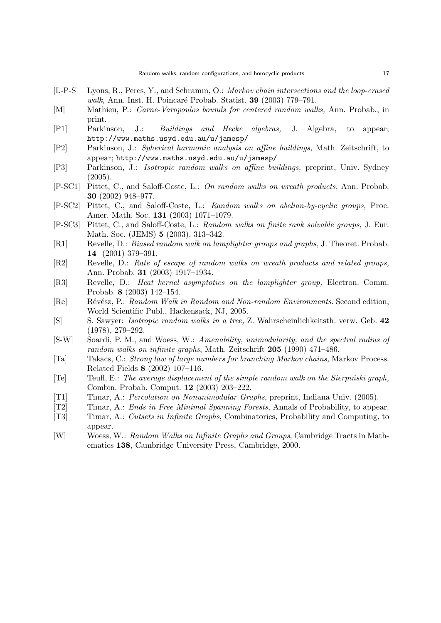- [L-P-S] Lyons, R., Peres, Y., and Schramm, O.: Markov chain intersections and the loop-erased walk, Ann. Inst. H. Poincaré Probab. Statist. **39** (2003) 779–791.
- [M] Mathieu, P.: Carne-Varopoulos bounds for centered random walks, Ann. Probab., in print.
- [P1] Parkinson, J.: Buildings and Hecke algebras, J. Algebra, to appear; http://www.maths.usyd.edu.au/u/jamesp/
- [P2] Parkinson, J.: Spherical harmonic analysis on affine buildings, Math. Zeitschrift, to appear; http://www.maths.usyd.edu.au/u/jamesp/
- [P3] Parkinson, J.: Isotropic random walks on affine buildings, preprint, Univ. Sydney  $(2005).$
- [P-SC1] Pittet, C., and Saloff-Coste, L.: On random walks on wreath products, Ann. Probab. 30 (2002) 948–977.
- [P-SC2] Pittet, C., and Saloff-Coste, L.: Random walks on abelian-by-cyclic groups, Proc. Amer. Math. Soc. 131 (2003) 1071–1079.
- [P-SC3] Pittet, C., and Saloff-Coste, L.: Random walks on finite rank solvable groups, J. Eur. Math. Soc. (JEMS) 5 (2003), 313–342.
- [R1] Revelle, D.: *Biased random walk on lamplighter groups and graphs*, J. Theoret. Probab. 14 (2001) 379–391.
- [R2] Revelle, D.: Rate of escape of random walks on wreath products and related groups, Ann. Probab. 31 (2003) 1917–1934.
- [R3] Revelle, D.: Heat kernel asymptotics on the lamplighter group, Electron. Comm. Probab. 8 (2003) 142–154.
- [Re] Révész, P.: Random Walk in Random and Non-random Environments. Second edition, World Scientific Publ., Hackensack, NJ, 2005.
- [S] S. Sawyer: Isotropic random walks in a tree, Z. Wahrscheinlichkeitsth. verw. Geb. 42 (1978), 279–292.
- [S-W] Soardi, P. M., and Woess, W.: Amenability, unimodularity, and the spectral radius of random walks on infinite graphs, Math. Zeitschrift 205 (1990) 471–486.
- [Ta] Takacs, C.: Strong law of large numbers for branching Markov chains, Markov Process. Related Fields 8 (2002) 107–116.
- [Te] Teufl, E.: The average displacement of the simple random walk on the Sierpiński graph, Combin. Probab. Comput. 12 (2003) 203–222.
- [T1] Timar, A.: Percolation on Nonunimodular Graphs, preprint, Indiana Univ. (2005).
- [T2] Timar, A.: Ends in Free Minimal Spanning Forests, Annals of Probability, to appear.
- [T3] Timar, A.: Cutsets in Infinite Graphs, Combinatorics, Probability and Computing, to appear.
- [W] Woess, W.: Random Walks on Infinite Graphs and Groups, Cambridge Tracts in Mathematics 138, Cambridge University Press, Cambridge, 2000.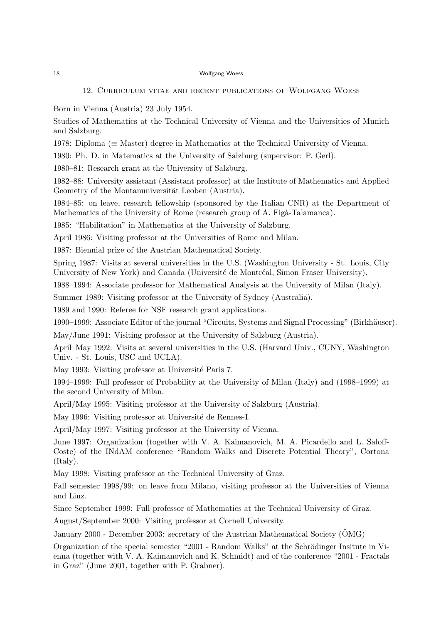### 12. Curriculum vitae and recent publications of Wolfgang Woess

Born in Vienna (Austria) 23 July 1954.

Studies of Mathematics at the Technical University of Vienna and the Universities of Munich and Salzburg.

1978: Diploma (≡ Master) degree in Mathematics at the Technical University of Vienna.

1980: Ph. D. in Matematics at the University of Salzburg (supervisor: P. Gerl).

1980–81: Research grant at the University of Salzburg.

1982–88: University assistant (Assistant professor) at the Institute of Mathematics and Applied Geometry of the Montanuniversität Leoben (Austria).

1984–85: on leave, research fellowship (sponsored by the Italian CNR) at the Department of Mathematics of the University of Rome (research group of A. Figà-Talamanca).

1985: "Habilitation" in Mathematics at the University of Salzburg.

April 1986: Visiting professor at the Universities of Rome and Milan.

1987: Biennial prize of the Austrian Mathematical Society.

Spring 1987: Visits at several universities in the U.S. (Washington University - St. Louis, City University of New York) and Canada (Université de Montréal, Simon Fraser University).

1988–1994: Associate professor for Mathematical Analysis at the University of Milan (Italy).

Summer 1989: Visiting professor at the University of Sydney (Australia).

1989 and 1990: Referee for NSF research grant applications.

1990–1999: Associate Editor of the journal "Circuits, Systems and Signal Processing" (Birkhäuser).

May/June 1991: Visiting professor at the University of Salzburg (Austria).

April–May 1992: Visits at several universities in the U.S. (Harvard Univ., CUNY, Washington Univ. - St. Louis, USC and UCLA).

May 1993: Visiting professor at Université Paris 7.

1994–1999: Full professor of Probability at the University of Milan (Italy) and (1998–1999) at the second University of Milan.

April/May 1995: Visiting professor at the University of Salzburg (Austria).

May 1996: Visiting professor at Université de Rennes-I.

April/May 1997: Visiting professor at the University of Vienna.

June 1997: Organization (together with V. A. Kaimanovich, M. A. Picardello and L. Saloff-Coste) of the INdAM conference "Random Walks and Discrete Potential Theory", Cortona (Italy).

May 1998: Visiting professor at the Technical University of Graz.

Fall semester 1998/99: on leave from Milano, visiting professor at the Universities of Vienna and Linz.

Since September 1999: Full professor of Mathematics at the Technical University of Graz.

August/September 2000: Visiting professor at Cornell University.

January 2000 - December 2003: secretary of the Austrian Mathematical Society (OMG) ¨

Organization of the special semester "2001 - Random Walks" at the Schrödinger Insitute in Vienna (together with V. A. Kaimanovich and K. Schmidt) and of the conference "2001 - Fractals in Graz" (June 2001, together with P. Grabner).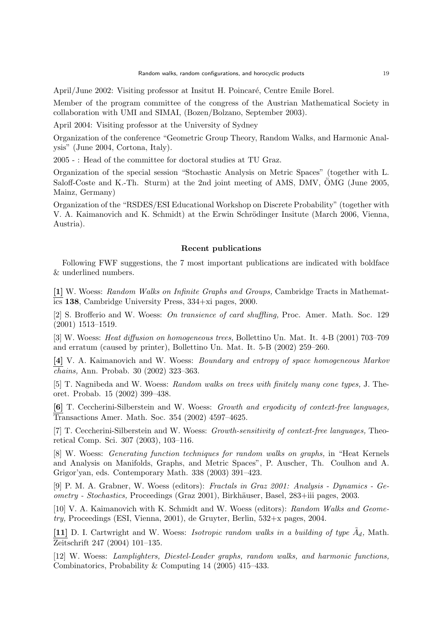April/June 2002: Visiting professor at Insitut H. Poincaré, Centre Emile Borel.

Member of the program committee of the congress of the Austrian Mathematical Society in collaboration with UMI and SIMAI, (Bozen/Bolzano, September 2003).

April 2004: Visiting professor at the University of Sydney

Organization of the conference "Geometric Group Theory, Random Walks, and Harmonic Analysis" (June 2004, Cortona, Italy).

2005 - : Head of the committee for doctoral studies at TU Graz.

Organization of the special session "Stochastic Analysis on Metric Spaces" (together with L. Saloff-Coste and K.-Th. Sturm) at the 2nd joint meeting of AMS, DMV,  $\ddot{O}MG$  (June 2005, Mainz, Germany)

Organization of the "RSDES/ESI Educational Workshop on Discrete Probability" (together with V. A. Kaimanovich and K. Schmidt) at the Erwin Schrödinger Insitute (March 2006, Vienna, Austria).

### Recent publications

Following FWF suggestions, the 7 most important publications are indicated with boldface & underlined numbers.

[1] W. Woess: Random Walks on Infinite Graphs and Groups, Cambridge Tracts in Mathematics 138, Cambridge University Press, 334+xi pages, 2000.

[2] S. Brofferio and W. Woess: On transience of card shuffling, Proc. Amer. Math. Soc. 129 (2001) 1513–1519.

[3] W. Woess: Heat diffusion on homogeneous trees, Bollettino Un. Mat. It. 4-B (2001) 703–709 and erratum (caused by printer), Bollettino Un. Mat. It. 5-B (2002) 259–260.

[4] V. A. Kaimanovich and W. Woess: Boundary and entropy of space homogeneous Markov chains, Ann. Probab. 30 (2002) 323–363.

[5] T. Nagnibeda and W. Woess: Random walks on trees with finitely many cone types, J. Theoret. Probab. 15 (2002) 399–438.

[6] T. Ceccherini-Silberstein and W. Woess: Growth and ergodicity of context-free languages, Transactions Amer. Math. Soc. 354 (2002) 4597–4625.

[7] T. Ceccherini-Silberstein and W. Woess: Growth-sensitivity of context-free languages, Theoretical Comp. Sci. 307 (2003), 103–116.

[8] W. Woess: Generating function techniques for random walks on graphs, in "Heat Kernels and Analysis on Manifolds, Graphs, and Metric Spaces", P. Auscher, Th. Coulhon and A. Grigor'yan, eds. Contemporary Math. 338 (2003) 391–423.

[9] P. M. A. Grabner, W. Woess (editors): Fractals in Graz 2001: Analysis - Dynamics - Geometry - Stochastics, Proceedings (Graz 2001), Birkh¨auser, Basel, 283+iii pages, 2003.

[10] V. A. Kaimanovich with K. Schmidt and W. Woess (editors): Random Walks and Geometry, Proceedings (ESI, Vienna, 2001), de Gruyter, Berlin, 532+x pages, 2004.

[11] D. I. Cartwright and W. Woess: *Isotropic random walks in a building of type*  $\tilde{A}_d$ , Math. Zeitschrift 247 (2004) 101–135.

[12] W. Woess: Lamplighters, Diestel-Leader graphs, random walks, and harmonic functions, Combinatorics, Probability & Computing 14 (2005) 415–433.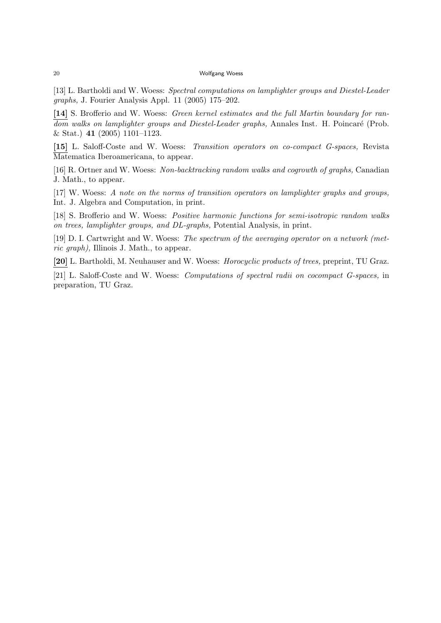[13] L. Bartholdi and W. Woess: Spectral computations on lamplighter groups and Diestel-Leader graphs, J. Fourier Analysis Appl. 11 (2005) 175–202.

[14] S. Brofferio and W. Woess: Green kernel estimates and the full Martin boundary for random walks on lamplighter groups and Diestel-Leader graphs, Annales Inst. H. Poincaré (Prob. & Stat.) 41 (2005) 1101–1123.

[15] L. Saloff-Coste and W. Woess: Transition operators on co-compact G-spaces, Revista Matematica Iberoamericana, to appear.

[16] R. Ortner and W. Woess: Non-backtracking random walks and cogrowth of graphs, Canadian J. Math., to appear.

[17] W. Woess: A note on the norms of transition operators on lamplighter graphs and groups, Int. J. Algebra and Computation, in print.

[18] S. Brofferio and W. Woess: Positive harmonic functions for semi-isotropic random walks on trees, lamplighter groups, and DL-graphs, Potential Analysis, in print.

[19] D. I. Cartwright and W. Woess: The spectrum of the averaging operator on a network (metric graph), Illinois J. Math., to appear.

[20] L. Bartholdi, M. Neuhauser and W. Woess: Horocyclic products of trees, preprint, TU Graz.

[21] L. Saloff-Coste and W. Woess: Computations of spectral radii on cocompact G-spaces, in preparation, TU Graz.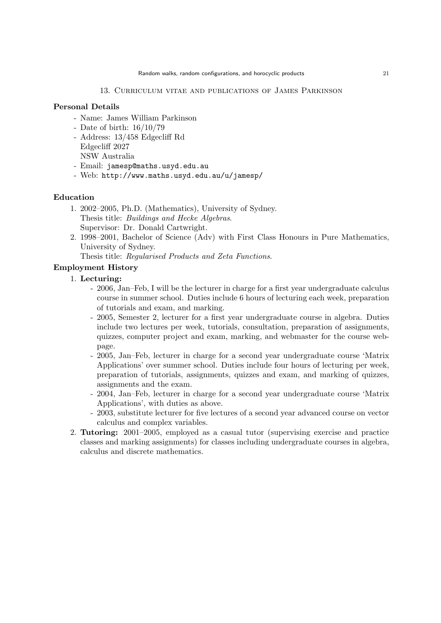# Personal Details

- Name: James William Parkinson
- Date of birth: 16/10/79
- Address: 13/458 Edgecliff Rd Edgecliff 2027 NSW Australia
- Email: jamesp@maths.usyd.edu.au
- Web: http://www.maths.usyd.edu.au/u/jamesp/

### Education

- 1. 2002–2005, Ph.D. (Mathematics), University of Sydney. Thesis title: Buildings and Hecke Algebras. Supervisor: Dr. Donald Cartwright.
- 2. 1998–2001, Bachelor of Science (Adv) with First Class Honours in Pure Mathematics, University of Sydney.

Thesis title: Regularised Products and Zeta Functions.

# Employment History

# 1. Lecturing:

- 2006, Jan–Feb, I will be the lecturer in charge for a first year undergraduate calculus course in summer school. Duties include 6 hours of lecturing each week, preparation of tutorials and exam, and marking.
- 2005, Semester 2, lecturer for a first year undergraduate course in algebra. Duties include two lectures per week, tutorials, consultation, preparation of assignments, quizzes, computer project and exam, marking, and webmaster for the course webpage.
- 2005, Jan–Feb, lecturer in charge for a second year undergraduate course 'Matrix Applications' over summer school. Duties include four hours of lecturing per week, preparation of tutorials, assignments, quizzes and exam, and marking of quizzes, assignments and the exam.
- 2004, Jan–Feb, lecturer in charge for a second year undergraduate course 'Matrix Applications', with duties as above.
- 2003, substitute lecturer for five lectures of a second year advanced course on vector calculus and complex variables.
- 2. Tutoring: 2001–2005, employed as a casual tutor (supervising exercise and practice classes and marking assignments) for classes including undergraduate courses in algebra, calculus and discrete mathematics.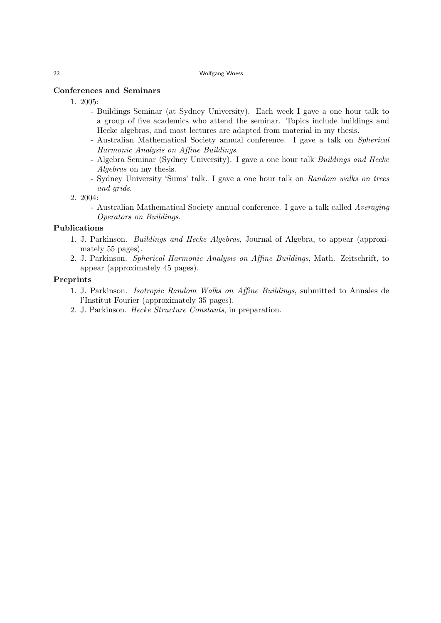# Conferences and Seminars

- 1. 2005:
	- Buildings Seminar (at Sydney University). Each week I gave a one hour talk to a group of five academics who attend the seminar. Topics include buildings and Hecke algebras, and most lectures are adapted from material in my thesis.
	- Australian Mathematical Society annual conference. I gave a talk on Spherical Harmonic Analysis on Affine Buildings.
	- Algebra Seminar (Sydney University). I gave a one hour talk Buildings and Hecke Algebras on my thesis.
	- Sydney University 'Sums' talk. I gave a one hour talk on Random walks on trees and grids.
- 2. 2004:
	- Australian Mathematical Society annual conference. I gave a talk called Averaging Operators on Buildings.

# Publications

- 1. J. Parkinson. Buildings and Hecke Algebras, Journal of Algebra, to appear (approximately 55 pages).
- 2. J. Parkinson. Spherical Harmonic Analysis on Affine Buildings, Math. Zeitschrift, to appear (approximately 45 pages).

# Preprints

- 1. J. Parkinson. Isotropic Random Walks on Affine Buildings, submitted to Annales de l'Institut Fourier (approximately 35 pages).
- 2. J. Parkinson. Hecke Structure Constants, in preparation.